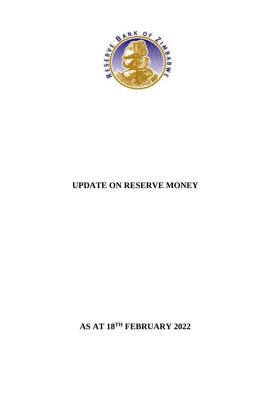

## **UPDATE ON RESERVE MONEY**

**AS AT 18TH FEBRUARY 2022**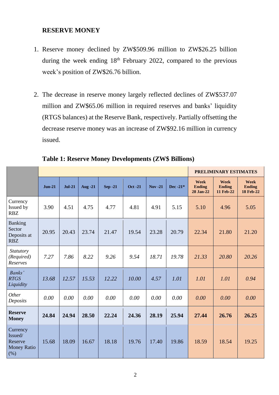## **RESERVE MONEY**

- 1. Reserve money declined by ZW\$509.96 million to ZW\$26.25 billion during the week ending 18<sup>th</sup> February 2022, compared to the previous week's position of ZW\$26.76 billion.
- 2. The decrease in reserve money largely reflected declines of ZW\$537.07 million and ZW\$65.06 million in required reserves and banks' liquidity (RTGS balances) at the Reserve Bank, respectively. Partially offsetting the decrease reserve money was an increase of ZW\$92.16 million in currency issued.

|                                                             |          |               |                |                |                |            |             | <b>PRELIMINARY ESTIMATES</b>       |                                    |                                           |
|-------------------------------------------------------------|----------|---------------|----------------|----------------|----------------|------------|-------------|------------------------------------|------------------------------------|-------------------------------------------|
|                                                             | $Jun-21$ | <b>Jul-21</b> | <b>Aug -21</b> | <b>Sep -21</b> | <b>Oct -21</b> | $Nov - 21$ | Dec -21 $*$ | Week<br><b>Ending</b><br>28 Jan-22 | Week<br><b>Ending</b><br>11 Feb-22 | Week<br><b>Ending</b><br><b>18 Feb-22</b> |
| Currency<br>Issued by<br><b>RBZ</b>                         | 3.90     | 4.51          | 4.75           | 4.77           | 4.81           | 4.91       | 5.15        | 5.10                               | 4.96                               | 5.05                                      |
| <b>Banking</b><br>Sector<br>Deposits at<br><b>RBZ</b>       | 20.95    | 20.43         | 23.74          | 21.47          | 19.54          | 23.28      | 20.79       | 22.34                              | 21.80                              | 21.20                                     |
| <i>Statutory</i><br>(Required)<br>Reserves                  | 7.27     | 7.86          | 8.22           | 9.26           | 9.54           | 18.71      | 19.78       | 21.33                              | 20.80                              | 20.26                                     |
| Banks'<br><b>RTGS</b><br>Liquidity                          | 13.68    | 12.57         | 15.53          | 12.22          | 10.00          | 4.57       | 1.01        | 1.01                               | 1.01                               | 0.94                                      |
| Other<br>Deposits                                           | 0.00     | 0.00          | 0.00           | 0.00           | 0.00           | 0.00       | 0.00        | 0.00                               | 0.00                               | 0.00                                      |
| <b>Reserve</b><br><b>Money</b>                              | 24.84    | 24.94         | 28.50          | 22.24          | 24.36          | 28.19      | 25.94       | 27.44                              | 26.76                              | 26.25                                     |
| Currency<br>Issued/<br>Reserve<br><b>Money Ratio</b><br>(%) | 15.68    | 18.09         | 16.67          | 18.18          | 19.76          | 17.40      | 19.86       | 18.59                              | 18.54                              | 19.25                                     |

**Table 1: Reserve Money Developments (ZW\$ Billions)**